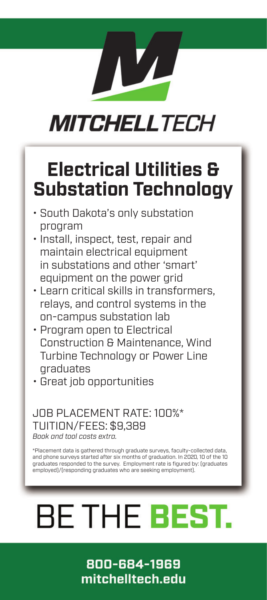## **MITCHELLTECH**

### **Electrical Utilities & Substation Technology**

- South Dakota's only substation program
- Install, inspect, test, repair and maintain electrical equipment in substations and other 'smart' equipment on the power grid
- Learn critical skills in transformers, relays, and control systems in the on-campus substation lab
- Program open to Electrical Construction & Maintenance, Wind Turbine Technology or Power Line graduates
- Great job opportunities

### JOB PLACEMENT RATE: 100%\* TUITION/FEES: \$9,389 *Book and tool costs extra.*

\*Placement data is gathered through graduate surveys, faculty-collected data, and phone surveys started after six months of graduation. In 2020, 10 of the 10 graduates responded to the survey. Employment rate is figured by: (graduates employed)/(responding graduates who are seeking employment).

# **BE THE BEST.**

800-684-1969 mitchelltech.edu